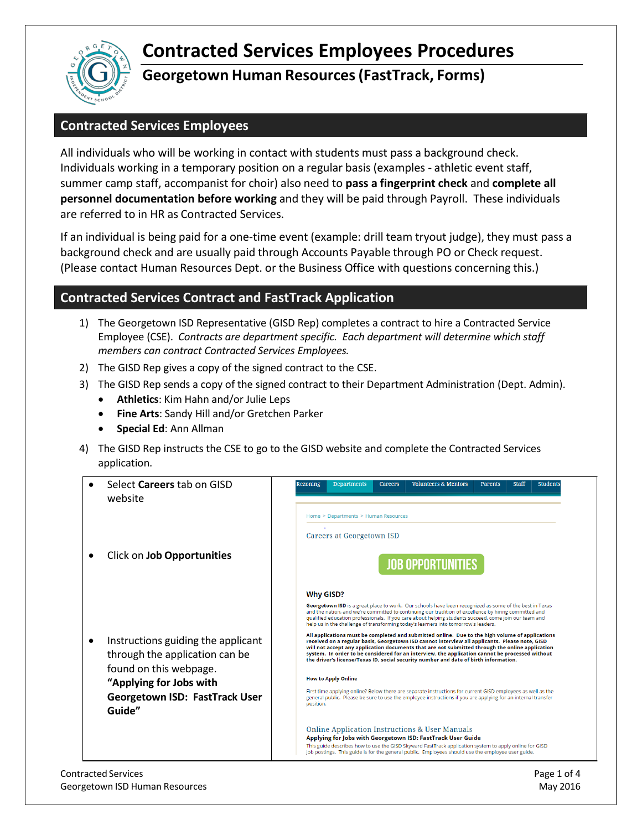## **Contracted Services Employees Procedures**



## **Georgetown Human Resources (FastTrack, Forms)**

## **Contracted Services Employees**

All individuals who will be working in contact with students must pass a background check. Individuals working in a temporary position on a regular basis (examples - athletic event staff, summer camp staff, accompanist for choir) also need to **pass a fingerprint check** and **complete all personnel documentation before working** and they will be paid through Payroll. These individuals are referred to in HR as Contracted Services.

If an individual is being paid for a one-time event (example: drill team tryout judge), they must pass a background check and are usually paid through Accounts Payable through PO or Check request. (Please contact Human Resources Dept. or the Business Office with questions concerning this.)

## **Contracted Services Contract and FastTrack Application**

- 1) The Georgetown ISD Representative (GISD Rep) completes a contract to hire a Contracted Service Employee (CSE). *Contracts are department specific. Each department will determine which staff members can contract Contracted Services Employees.*
- 2) The GISD Rep gives a copy of the signed contract to the CSE.
- 3) The GISD Rep sends a copy of the signed contract to their Department Administration (Dept. Admin).
	- **Athletics**: Kim Hahn and/or Julie Leps
	- **Fine Arts**: Sandy Hill and/or Gretchen Parker
	- **Special Ed**: Ann Allman
- 4) The GISD Rep instructs the CSE to go to the GISD website and complete the Contracted Services application.

| Select <b>Careers</b> tab on GISD<br>website                                                                                                                          | <b>Volunteers &amp; Mentors</b><br>Rezoning<br><b>Departments</b><br><b>Careers</b><br><b>Parents</b><br><b>Staff</b><br><b>Students</b><br>Home > Departments > Human Resources                                                                                                                                                                                                                                                                                                                                                                                                                                                                                                                                                                                                                                                                                                                                                                                                                                                                                                                                                                                                                                                                                                                                                 |
|-----------------------------------------------------------------------------------------------------------------------------------------------------------------------|----------------------------------------------------------------------------------------------------------------------------------------------------------------------------------------------------------------------------------------------------------------------------------------------------------------------------------------------------------------------------------------------------------------------------------------------------------------------------------------------------------------------------------------------------------------------------------------------------------------------------------------------------------------------------------------------------------------------------------------------------------------------------------------------------------------------------------------------------------------------------------------------------------------------------------------------------------------------------------------------------------------------------------------------------------------------------------------------------------------------------------------------------------------------------------------------------------------------------------------------------------------------------------------------------------------------------------|
| Click on Job Opportunities                                                                                                                                            | Careers at Georgetown ISD<br><b>JOB OPPORTUNITIES</b>                                                                                                                                                                                                                                                                                                                                                                                                                                                                                                                                                                                                                                                                                                                                                                                                                                                                                                                                                                                                                                                                                                                                                                                                                                                                            |
| Instructions guiding the applicant<br>through the application can be<br>found on this webpage.<br>"Applying for Jobs with<br>Georgetown ISD: FastTrack User<br>Guide" | <b>Why GISD?</b><br>Georgetown ISD is a great place to work. Our schools have been recognized as some of the best in Texas<br>and the nation, and we're committed to continuing our tradition of excellence by hiring committed and<br>qualified education professionals. If you care about helping students succeed, come join our team and<br>help us in the challenge of transforming today's learners into tomorrow's leaders.<br>All applications must be completed and submitted online. Due to the high volume of applications<br>received on a regular basis, Georgetown ISD cannot interview all applicants. Please note, GISD<br>will not accept any application documents that are not submitted through the online application<br>system. In order to be considered for an interview, the application cannot be processed without<br>the driver's license/Texas ID, social security number and date of birth information.<br><b>How to Apply Online</b><br>First time applying online? Below there are separate instructions for current GISD employees as well as the<br>general public. Please be sure to use the employee instructions if you are applying for an internal transfer<br>position.<br>Online Application Instructions & User Manuals<br>Applying for Jobs with Georgetown ISD: FastTrack User Guide |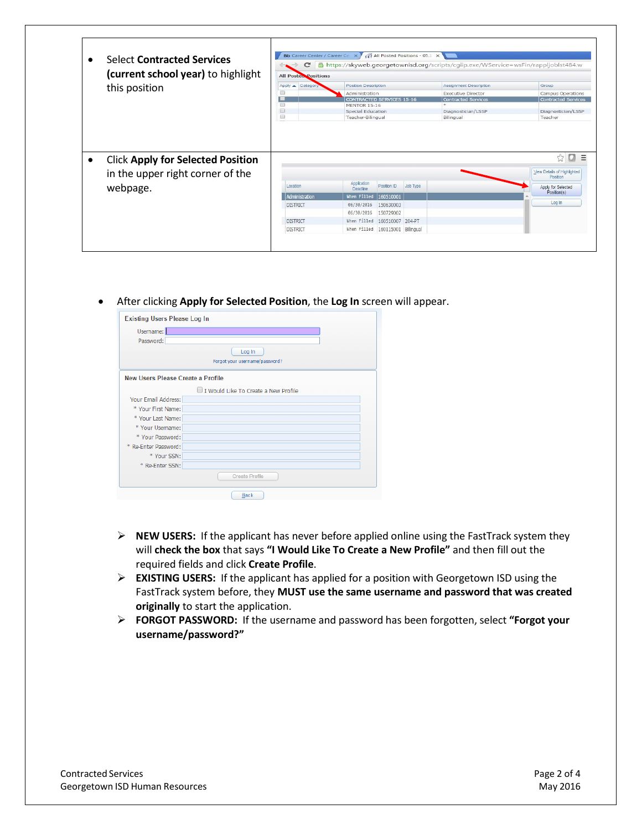| <b>Select Contracted Services</b>                                            | $\mathbf{C}$<br>$\rightarrow$ | <b>Bb</b> Career Center / Career Ce $\overline{\times}$ / $\sqrt{}$ All Posted Positions - 05.1 $\overline{\times}$<br>Ahttps://skyweb.georgetownisd.org/scripts/cgiip.exe/WService=wsFin/rappljoblst484.w<br>All Posteo Positions |                            |                                                                       |  |  |  |
|------------------------------------------------------------------------------|-------------------------------|------------------------------------------------------------------------------------------------------------------------------------------------------------------------------------------------------------------------------------|----------------------------|-----------------------------------------------------------------------|--|--|--|
| (current school year) to highlight                                           |                               |                                                                                                                                                                                                                                    |                            |                                                                       |  |  |  |
| this position                                                                | $Apply -$<br>Category         | <b>Position Description</b>                                                                                                                                                                                                        | Assignment Description     | Group                                                                 |  |  |  |
|                                                                              | f.                            | Administration                                                                                                                                                                                                                     | <b>Executive Director</b>  | <b>Campus Operations</b>                                              |  |  |  |
|                                                                              |                               | <b>CONTRACTED SERVICES 15-16</b>                                                                                                                                                                                                   | <b>Contracted Services</b> | <b>Contracted Services</b>                                            |  |  |  |
|                                                                              | <b>CO</b>                     | <b>MENTOR 15-16</b>                                                                                                                                                                                                                |                            |                                                                       |  |  |  |
|                                                                              | $\Box$                        | Special Education                                                                                                                                                                                                                  | Diagnostician/LSSP         | Diagnostician/LSSP                                                    |  |  |  |
|                                                                              | [12]                          | Teacher-Bilingual                                                                                                                                                                                                                  | Bilingual                  | Teacher                                                               |  |  |  |
|                                                                              |                               |                                                                                                                                                                                                                                    |                            | ☆<br>o                                                                |  |  |  |
| <b>Click Apply for Selected Position</b><br>in the upper right corner of the |                               |                                                                                                                                                                                                                                    |                            | Position                                                              |  |  |  |
| webpage.                                                                     | Location                      | Application<br>Position ID<br>Job Type<br>Deadline                                                                                                                                                                                 |                            | Ξ<br>View Details of Highlighted<br>Apply for Selected<br>Position(s) |  |  |  |
|                                                                              | Administration                | When Filled<br>160510001                                                                                                                                                                                                           |                            |                                                                       |  |  |  |
|                                                                              | <b>DISTRICT</b>               | 06/30/2016<br>150630003                                                                                                                                                                                                            |                            | Log In                                                                |  |  |  |
|                                                                              |                               | 06/30/2016<br>150729002                                                                                                                                                                                                            |                            |                                                                       |  |  |  |
|                                                                              | <b>DISTRICT</b>               | 160510007 204-PT<br>When Filled                                                                                                                                                                                                    |                            |                                                                       |  |  |  |

After clicking **Apply for Selected Position**, the **Log In** screen will appear.

| <b>Existing Users Please Log In</b> |                                      |  |  |  |  |  |  |
|-------------------------------------|--------------------------------------|--|--|--|--|--|--|
| Username:                           |                                      |  |  |  |  |  |  |
| Password:                           |                                      |  |  |  |  |  |  |
|                                     | Log In                               |  |  |  |  |  |  |
| Forgot your username/password?      |                                      |  |  |  |  |  |  |
| New Users Please Create a Profile   |                                      |  |  |  |  |  |  |
|                                     | I Would Like To Create a New Profile |  |  |  |  |  |  |
| Your Email Address:                 |                                      |  |  |  |  |  |  |
| * Your First Name:                  |                                      |  |  |  |  |  |  |
| * Your Last Name:                   |                                      |  |  |  |  |  |  |
| * Your Username:                    |                                      |  |  |  |  |  |  |
| * Your Password:                    |                                      |  |  |  |  |  |  |
| * Re-Enter Password:                |                                      |  |  |  |  |  |  |
| * Your SSN:                         |                                      |  |  |  |  |  |  |
| * Re-Enter SSN:                     |                                      |  |  |  |  |  |  |
|                                     | <b>Create Profile</b>                |  |  |  |  |  |  |
|                                     | <b>Back</b>                          |  |  |  |  |  |  |

- **NEW USERS:** If the applicant has never before applied online using the FastTrack system they will **check the box** that says **"I Would Like To Create a New Profile"** and then fill out the required fields and click **Create Profile**.
- **EXISTING USERS:** If the applicant has applied for a position with Georgetown ISD using the FastTrack system before, they **MUST use the same username and password that was created originally** to start the application.
- **FORGOT PASSWORD:** If the username and password has been forgotten, select **"Forgot your username/password?"**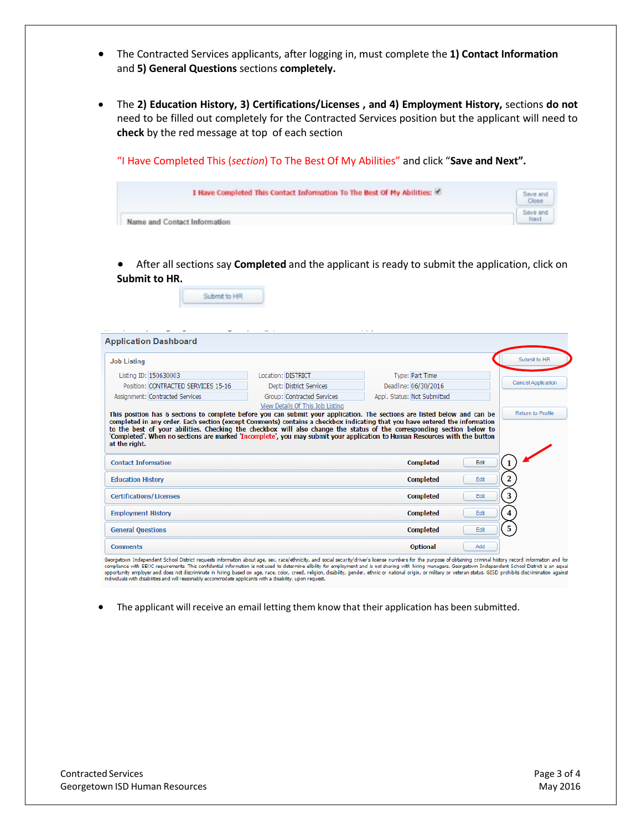- The Contracted Services applicants, after logging in, must complete the **1) Contact Information** and **5) General Questions** sections **completely.**
- The **2) Education History, 3) Certifications/Licenses , and 4) Employment History,** sections **do not** need to be filled out completely for the Contracted Services position but the applicant will need to **check** by the red message at top of each section

"I Have Completed This (*section*) To The Best Of My Abilities" and click "**Save and Next".**

| I Have Completed This Contact Information To The Best Of My Abilities: | Save and        |
|------------------------------------------------------------------------|-----------------|
| Name and Contact Information                                           | Save and<br>Nex |

 After all sections say **Completed** and the applicant is ready to submit the application, click on **Submit to HR.**

Submit to HR

| <b>Application Dashboard</b>                                                                                                                                                                                                                                                                       |                            | .                           |      |                           |
|----------------------------------------------------------------------------------------------------------------------------------------------------------------------------------------------------------------------------------------------------------------------------------------------------|----------------------------|-----------------------------|------|---------------------------|
| <b>Job Listing</b>                                                                                                                                                                                                                                                                                 |                            |                             |      | Submit to HR              |
| Listing ID: 150630003                                                                                                                                                                                                                                                                              | Location: DISTRICT         | Type: Part Time             |      |                           |
| Position: CONTRACTED SERVICES 15-16                                                                                                                                                                                                                                                                | Dept: District Services    | Deadline: 06/30/2016        |      | <b>Cancel Application</b> |
| Assignment: Contracted Services                                                                                                                                                                                                                                                                    | Group: Contracted Services | Appl. Status: Not Submitted |      |                           |
| to the best of your abilities. Checking the checkbox will also change the status of the corresponding section below to<br>'Completed'. When no sections are marked 'Incomplete', you may submit your application to Human Resources with the button<br>at the right.<br><b>Contact Information</b> |                            | <b>Completed</b>            | Edit |                           |
| <b>Education History</b>                                                                                                                                                                                                                                                                           |                            | <b>Completed</b>            | Edit | $\overline{2}$            |
| <b>Certifications/Licenses</b>                                                                                                                                                                                                                                                                     |                            | <b>Completed</b>            | Edit | 3                         |
| <b>Employment History</b>                                                                                                                                                                                                                                                                          |                            | <b>Completed</b>            | Edit | 4                         |
| <b>General Questions</b>                                                                                                                                                                                                                                                                           |                            | <b>Completed</b>            | Edit | 5                         |
|                                                                                                                                                                                                                                                                                                    |                            |                             |      |                           |

Georgetown Independent School District requests information about age, sex, race/ethnicity, and social security/driver's license numbers for the purpose of obtaining criminal history record information and for<br>compliance w

The applicant will receive an email letting them know that their application has been submitted.